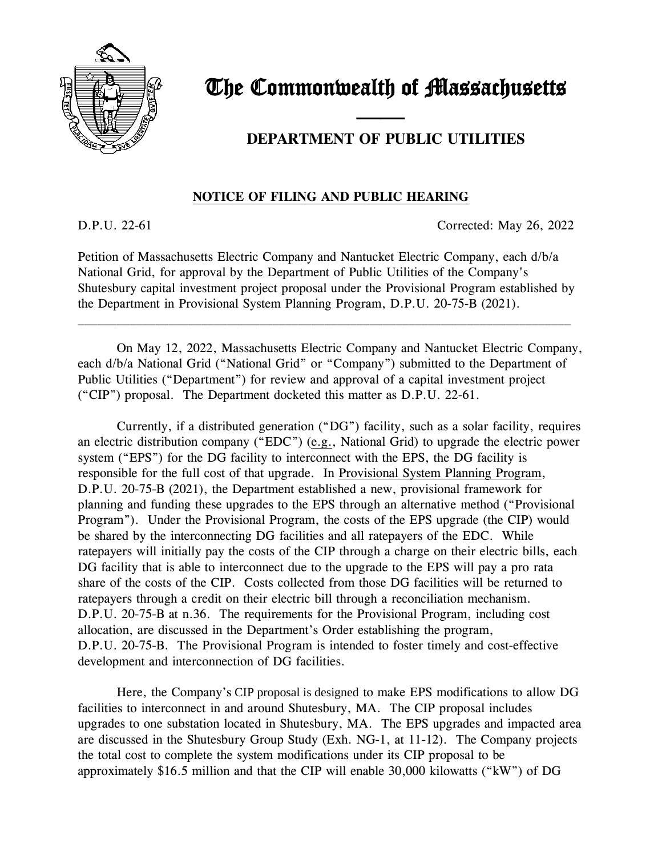

## The Commonwealth of Massachusetts

## **DEPARTMENT OF PUBLIC UTILITIES**

## **NOTICE OF FILING AND PUBLIC HEARING**

and the contract of the contract of

D.P.U. 22-61 Corrected: May 26, 2022

Petition of Massachusetts Electric Company and Nantucket Electric Company, each d/b/a National Grid, for approval by the Department of Public Utilities of the Company's Shutesbury capital investment project proposal under the Provisional Program established by the Department in Provisional System Planning Program, D.P.U. 20-75-B (2021).

\_\_\_\_\_\_\_\_\_\_\_\_\_\_\_\_\_\_\_\_\_\_\_\_\_\_\_\_\_\_\_\_\_\_\_\_\_\_\_\_\_\_\_\_\_\_\_\_\_\_\_\_\_\_\_\_\_\_\_\_\_\_\_\_\_\_\_\_\_\_\_\_\_\_\_\_

On May 12, 2022, Massachusetts Electric Company and Nantucket Electric Company, each d/b/a National Grid ("National Grid" or "Company") submitted to the Department of Public Utilities ("Department") for review and approval of a capital investment project ("CIP") proposal. The Department docketed this matter as D.P.U. 22-61.

Currently, if a distributed generation ("DG") facility, such as a solar facility, requires an electric distribution company ("EDC") (e.g., National Grid) to upgrade the electric power system ("EPS") for the DG facility to interconnect with the EPS, the DG facility is responsible for the full cost of that upgrade. In Provisional System Planning Program, D.P.U. 20-75-B (2021), the Department established a new, provisional framework for planning and funding these upgrades to the EPS through an alternative method ("Provisional Program"). Under the Provisional Program, the costs of the EPS upgrade (the CIP) would be shared by the interconnecting DG facilities and all ratepayers of the EDC. While ratepayers will initially pay the costs of the CIP through a charge on their electric bills, each DG facility that is able to interconnect due to the upgrade to the EPS will pay a pro rata share of the costs of the CIP. Costs collected from those DG facilities will be returned to ratepayers through a credit on their electric bill through a reconciliation mechanism. D.P.U. 20-75-B at n.36. The requirements for the Provisional Program, including cost allocation, are discussed in the Department's Order establishing the program, D.P.U. 20-75-B. The Provisional Program is intended to foster timely and cost-effective development and interconnection of DG facilities.

Here, the Company's CIP proposal is designed to make EPS modifications to allow DG facilities to interconnect in and around Shutesbury, MA. The CIP proposal includes upgrades to one substation located in Shutesbury, MA. The EPS upgrades and impacted area are discussed in the Shutesbury Group Study (Exh. NG-1, at 11-12). The Company projects the total cost to complete the system modifications under its CIP proposal to be approximately \$16.5 million and that the CIP will enable 30,000 kilowatts ("kW") of DG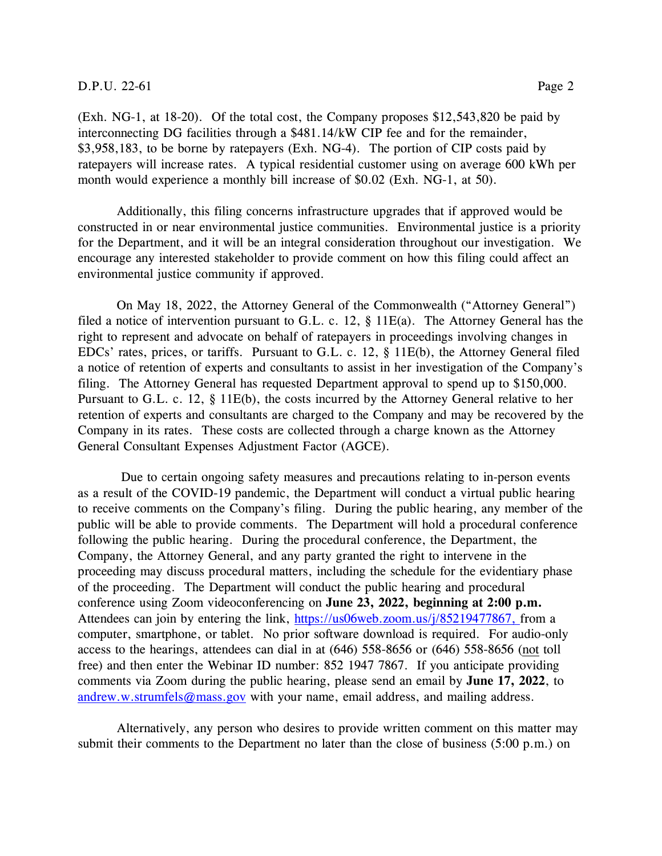## D.P.U. 22-61 Page 2

(Exh. NG-1, at 18-20). Of the total cost, the Company proposes \$12,543,820 be paid by interconnecting DG facilities through a \$481.14/kW CIP fee and for the remainder, \$3,958,183, to be borne by ratepayers (Exh. NG-4). The portion of CIP costs paid by ratepayers will increase rates. A typical residential customer using on average 600 kWh per month would experience a monthly bill increase of \$0.02 (Exh. NG-1, at 50).

Additionally, this filing concerns infrastructure upgrades that if approved would be constructed in or near environmental justice communities. Environmental justice is a priority for the Department, and it will be an integral consideration throughout our investigation. We encourage any interested stakeholder to provide comment on how this filing could affect an environmental justice community if approved.

On May 18, 2022, the Attorney General of the Commonwealth ("Attorney General") filed a notice of intervention pursuant to G.L. c. 12, § 11E(a). The Attorney General has the right to represent and advocate on behalf of ratepayers in proceedings involving changes in EDCs' rates, prices, or tariffs. Pursuant to G.L. c. 12, § 11E(b), the Attorney General filed a notice of retention of experts and consultants to assist in her investigation of the Company's filing. The Attorney General has requested Department approval to spend up to \$150,000. Pursuant to G.L. c. 12, § 11E(b), the costs incurred by the Attorney General relative to her retention of experts and consultants are charged to the Company and may be recovered by the Company in its rates. These costs are collected through a charge known as the Attorney General Consultant Expenses Adjustment Factor (AGCE).

Due to certain ongoing safety measures and precautions relating to in-person events as a result of the COVID-19 pandemic, the Department will conduct a virtual public hearing to receive comments on the Company's filing. During the public hearing, any member of the public will be able to provide comments. The Department will hold a procedural conference following the public hearing. During the procedural conference, the Department, the Company, the Attorney General, and any party granted the right to intervene in the proceeding may discuss procedural matters, including the schedule for the evidentiary phase of the proceeding. The Department will conduct the public hearing and procedural conference using Zoom videoconferencing on **June 23, 2022, beginning at 2:00 p.m.** Attendees can join by entering the link, [https://us06web.zoom.us/j/85219477867,](https://us06web.zoom.us/j/85219477867) from a computer, smartphone, or tablet. No prior software download is required. For audio-only access to the hearings, attendees can dial in at (646) 558-8656 or (646) 558-8656 (not toll free) and then enter the Webinar ID number: 852 1947 7867. If you anticipate providing comments via Zoom during the public hearing, please send an email by **June 17, 2022**, to [andrew.w.strumfels@mass.gov](mailto:andrew.w.strumfels@mass.gov) with your name, email address, and mailing address.

Alternatively, any person who desires to provide written comment on this matter may submit their comments to the Department no later than the close of business (5:00 p.m.) on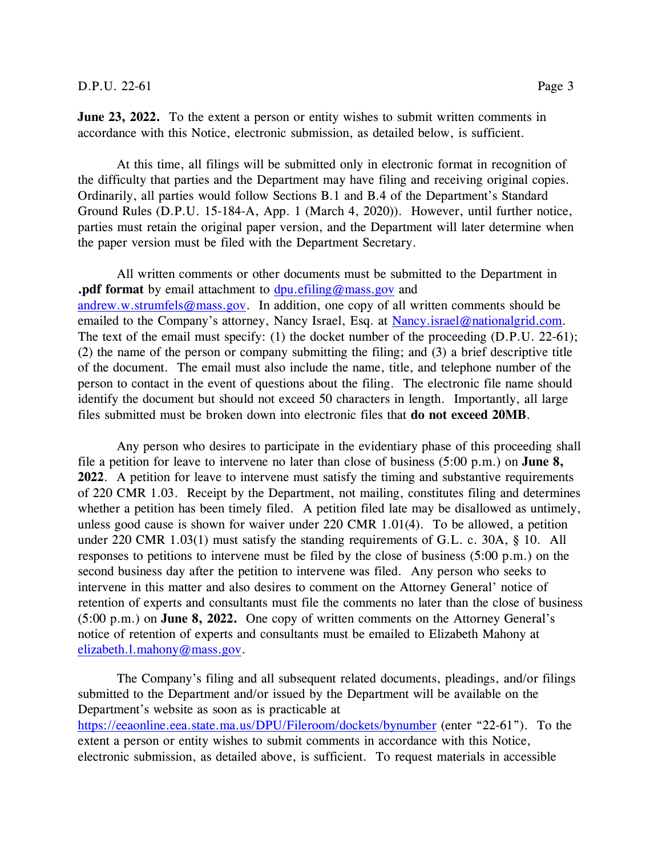**June 23, 2022.** To the extent a person or entity wishes to submit written comments in accordance with this Notice, electronic submission, as detailed below, is sufficient.

At this time, all filings will be submitted only in electronic format in recognition of the difficulty that parties and the Department may have filing and receiving original copies. Ordinarily, all parties would follow Sections B.1 and B.4 of the Department's Standard Ground Rules (D.P.U. 15-184-A, App. 1 (March 4, 2020)). However, until further notice, parties must retain the original paper version, and the Department will later determine when the paper version must be filed with the Department Secretary.

All written comments or other documents must be submitted to the Department in **.pdf format** by email attachment to [dpu.efiling@mass.gov](mailto:dpu.efiling@mass.gov) and [andrew.w.strumfels@mass.gov.](mailto:andrew.w.strumfels@mass.gov) In addition, one copy of all written comments should be emailed to the Company's attorney, Nancy Israel, Esq. at [Nancy.israel@nationalgrid.com.](mailto:Nancy.israel@nationalgrid.com) The text of the email must specify: (1) the docket number of the proceeding (D.P.U. 22-61); (2) the name of the person or company submitting the filing; and (3) a brief descriptive title of the document. The email must also include the name, title, and telephone number of the person to contact in the event of questions about the filing. The electronic file name should identify the document but should not exceed 50 characters in length. Importantly, all large files submitted must be broken down into electronic files that **do not exceed 20MB**.

Any person who desires to participate in the evidentiary phase of this proceeding shall file a petition for leave to intervene no later than close of business (5:00 p.m.) on **June 8, 2022**. A petition for leave to intervene must satisfy the timing and substantive requirements of 220 CMR 1.03. Receipt by the Department, not mailing, constitutes filing and determines whether a petition has been timely filed. A petition filed late may be disallowed as untimely, unless good cause is shown for waiver under 220 CMR 1.01(4). To be allowed, a petition under 220 CMR 1.03(1) must satisfy the standing requirements of G.L. c. 30A, § 10. All responses to petitions to intervene must be filed by the close of business (5:00 p.m.) on the second business day after the petition to intervene was filed. Any person who seeks to intervene in this matter and also desires to comment on the Attorney General' notice of retention of experts and consultants must file the comments no later than the close of business (5:00 p.m.) on **June 8, 2022.** One copy of written comments on the Attorney General's notice of retention of experts and consultants must be emailed to Elizabeth Mahony at [elizabeth.l.mahony@mass.gov.](mailto:elizabeth.l.mahony@mass.gov)

The Company's filing and all subsequent related documents, pleadings, and/or filings submitted to the Department and/or issued by the Department will be available on the Department's website as soon as is practicable at <https://eeaonline.eea.state.ma.us/DPU/Fileroom/dockets/bynumber> (enter "22-61"). To the extent a person or entity wishes to submit comments in accordance with this Notice, electronic submission, as detailed above, is sufficient. To request materials in accessible